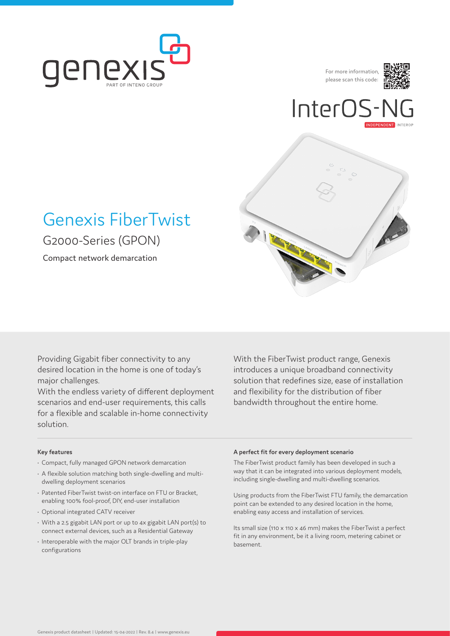

For more information, please scan this code:



# InterO<sup>s</sup>



## Genexis FiberTwist G2000-Series (GPON)

Compact network demarcation

Providing Gigabit fiber connectivity to any desired location in the home is one of today's major challenges.

With the endless variety of different deployment scenarios and end-user requirements, this calls for a flexible and scalable in-home connectivity solution.

With the FiberTwist product range, Genexis introduces a unique broadband connectivity solution that redefines size, ease of installation and flexibility for the distribution of fiber bandwidth throughout the entire home.

#### **Key features**

- Compact, fully managed GPON network demarcation
- A flexible solution matching both single-dwelling and multidwelling deployment scenarios
- Patented FiberTwist twist-on interface on FTU or Bracket, enabling 100% fool-proof, DIY, end-user installation
- Optional integrated CATV receiver
- With a 2.5 gigabit LAN port or up to 4x gigabit LAN port(s) to connect external devices, such as a Residential Gateway
- Interoperable with the major OLT brands in triple-play configurations

#### **A perfect fit for every deployment scenario**

The FiberTwist product family has been developed in such a way that it can be integrated into various deployment models, including single-dwelling and multi-dwelling scenarios.

Using products from the FiberTwist FTU family, the demarcation point can be extended to any desired location in the home, enabling easy access and installation of services.

Its small size (110 x 110 x 46 mm) makes the FiberTwist a perfect fit in any environment, be it a living room, metering cabinet or basement.